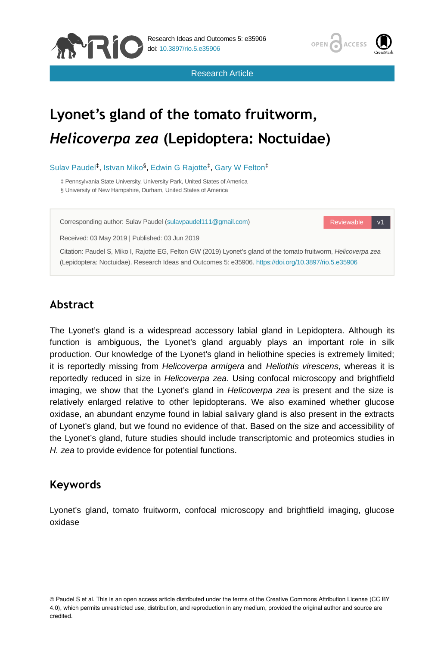



Research Article

# **Lyonet's gland of the tomato fruitworm,**  *Helicoverpa zea* **(Lepidoptera: Noctuidae)**

Sulav Paudel<sup>‡</sup>, Istvan Miko<sup>§</sup>, Edwin G Rajotte<sup>‡</sup>, Gary W Felton<sup>‡</sup>

‡ Pennsylvania State University, University Park, United States of America § University of New Hampshire, Durham, United States of America

Corresponding author: Sulav Paudel ([sulavpaudel111@gmail.com\)](mailto:sulavpaudel111@gmail.com)

Reviewable v1

Received: 03 May 2019 | Published: 03 Jun 2019

Citation: Paudel S, Miko I, Rajotte EG, Felton GW (2019) Lyonet's gland of the tomato fruitworm, *Helicoverpa zea* (Lepidoptera: Noctuidae). Research Ideas and Outcomes 5: e35906. <https://doi.org/10.3897/rio.5.e35906>

## **Abstract**

The Lyonet's gland is a widespread accessory labial gland in Lepidoptera. Although its function is ambiguous, the Lyonet's gland arguably plays an important role in silk production. Our knowledge of the Lyonet's gland in heliothine species is extremely limited; it is reportedly missing from *Helicoverpa armigera* and *Heliothis virescens*, whereas it is reportedly reduced in size in *Helicoverpa zea*. Using confocal microscopy and brightfield imaging, we show that the Lyonet's gland in *Helicoverpa zea* is present and the size is relatively enlarged relative to other lepidopterans. We also examined whether glucose oxidase, an abundant enzyme found in labial salivary gland is also present in the extracts of Lyonet's gland, but we found no evidence of that. Based on the size and accessibility of the Lyonet's gland, future studies should include transcriptomic and proteomics studies in *H. zea* to provide evidence for potential functions.

## **Keywords**

Lyonet's gland, tomato fruitworm, confocal microscopy and brightfield imaging, glucose oxidase

<sup>©</sup> Paudel S et al. This is an open access article distributed under the terms of the Creative Commons Attribution License (CC BY 4.0), which permits unrestricted use, distribution, and reproduction in any medium, provided the original author and source are credited.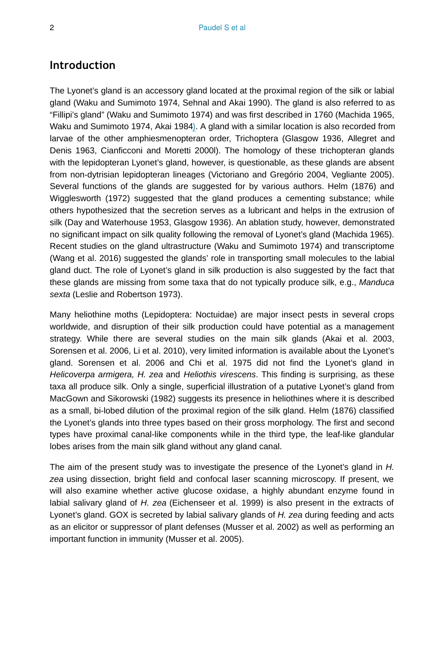### **Introduction**

The Lyonet's gland is an accessory gland located at the proximal region of the silk or labial gland (Waku and Sumimoto 1974, Sehnal and Akai 1990). The gland is also referred to as "Fillipi's gland" (Waku and Sumimoto 1974) and was first described in 1760 (Machida 1965, Waku and Sumimoto 1974, Akai 1984). A gland with a similar location is also recorded from larvae of the other amphiesmenopteran order, Trichoptera (Glasgow 1936, Allegret and Denis 1963, Cianficconi and Moretti 2000l). The homology of these trichopteran glands with the lepidopteran Lyonet's gland, however, is questionable, as these glands are absent from non-dytrisian lepidopteran lineages (Victoriano and Gregório 2004, Vegliante 2005). Several functions of the glands are suggested for by various authors. Helm (1876) and Wigglesworth (1972) suggested that the gland produces a cementing substance; while others hypothesized that the secretion serves as a lubricant and helps in the extrusion of silk (Day and Waterhouse 1953, Glasgow 1936). An ablation study, however, demonstrated no significant impact on silk quality following the removal of Lyonet's gland (Machida 1965). Recent studies on the gland ultrastructure (Waku and Sumimoto 1974) and transcriptome (Wang et al. 2016) suggested the glands' role in transporting small molecules to the labial gland duct. The role of Lyonet's gland in silk production is also suggested by the fact that these glands are missing from some taxa that do not typically produce silk, e.g., *Manduca sexta* (Leslie and Robertson 1973).

Many heliothine moths (Lepidoptera: Noctuidae) are major insect pests in several crops worldwide, and disruption of their silk production could have potential as a management strategy. While there are several studies on the main silk glands (Akai et al. 2003, Sorensen et al. 2006, Li et al. 2010), very limited information is available about the Lyonet's gland. Sorensen et al. 2006 and Chi et al. 1975 did not find the Lyonet's gland in *Helicoverpa armigera, H. zea* and *Heliothis virescens*. This finding is surprising, as these taxa all produce silk. Only a single, superficial illustration of a putative Lyonet's gland from MacGown and Sikorowski (1982) suggests its presence in heliothines where it is described as a small, bi-lobed dilution of the proximal region of the silk gland. Helm (1876) classified the Lyonet's glands into three types based on their gross morphology. The first and second types have proximal canal-like components while in the third type, the leaf-like glandular lobes arises from the main silk gland without any gland canal.

The aim of the present study was to investigate the presence of the Lyonet's gland in *H. zea* using dissection, bright field and confocal laser scanning microscopy. If present, we will also examine whether active glucose oxidase, a highly abundant enzyme found in labial salivary gland of *H. zea* (Eichenseer et al. 1999) is also present in the extracts of Lyonet's gland. GOX is secreted by labial salivary glands of *H. zea* during feeding and acts as an elicitor or suppressor of plant defenses (Musser et al. 2002) as well as performing an important function in immunity (Musser et al. 2005).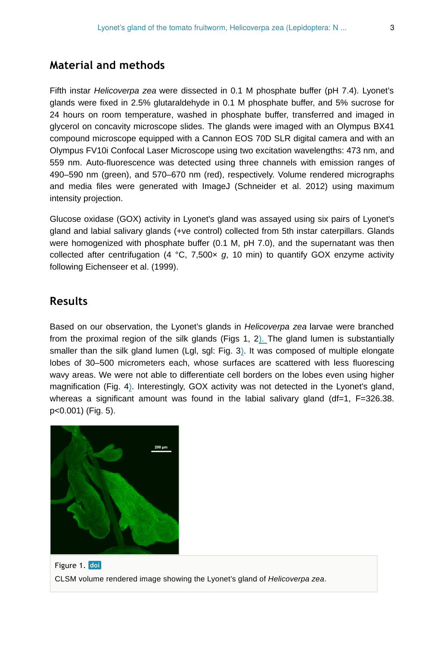## **Material and methods**

Fifth instar *Helicoverpa zea* were dissected in 0.1 M phosphate buffer (pH 7.4). Lyonet's glands were fixed in 2.5% glutaraldehyde in 0.1 M phosphate buffer, and 5% sucrose for 24 hours on room temperature, washed in phosphate buffer, transferred and imaged in glycerol on concavity microscope slides. The glands were imaged with an Olympus BX41 compound microscope equipped with a Cannon EOS 70D SLR digital camera and with an Olympus FV10i Confocal Laser Microscope using two excitation wavelengths: 473 nm, and 559 nm. Auto-fluorescence was detected using three channels with emission ranges of 490–590 nm (green), and 570–670 nm (red), respectively. Volume rendered micrographs and media files were generated with ImageJ (Schneider et al. 2012) using maximum intensity projection.

Glucose oxidase (GOX) activity in Lyonet's gland was assayed using six pairs of Lyonet's gland and labial salivary glands (+ve control) collected from 5th instar caterpillars. Glands were homogenized with phosphate buffer (0.1 M, pH 7.0), and the supernatant was then collected after centrifugation (4  $^{\circ}$ C, 7,500 $\times$  g, 10 min) to quantify GOX enzyme activity following Eichenseer et al. (1999).

## **Results**

Based on our observation, the Lyonet's glands in *Helicoverpa zea* larvae were branched from the proximal region of the silk glands (Figs 1, 2). The gland lumen is substantially smaller than the silk gland lumen (Lgl, sgl: Fig. 3). It was composed of multiple elongate lobes of 30–500 micrometers each, whose surfaces are scattered with less fluorescing wavy areas. We were not able to differentiate cell borders on the lobes even using higher magnification (Fig. 4). Interestingly, GOX activity was not detected in the Lyonet's gland, whereas a significant amount was found in the labial salivary gland (df=1, F=326.38. p<0.001) (Fig. 5).



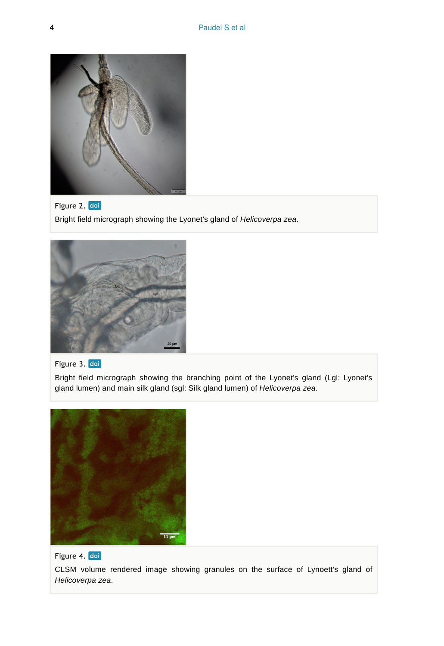

Figure 2. doi Bright field micrograph showing the Lyonet's gland of *Helicoverpa zea*.



#### Figure 3. doi

Bright field micrograph showing the branching point of the Lyonet's gland (Lgl: Lyonet's gland lumen) and main silk gland (sgl: Silk gland lumen) of *Helicoverpa zea*.



#### Figure 4. doi

CLSM volume rendered image showing granules on the surface of Lynoett's gland of *Helicoverpa zea*.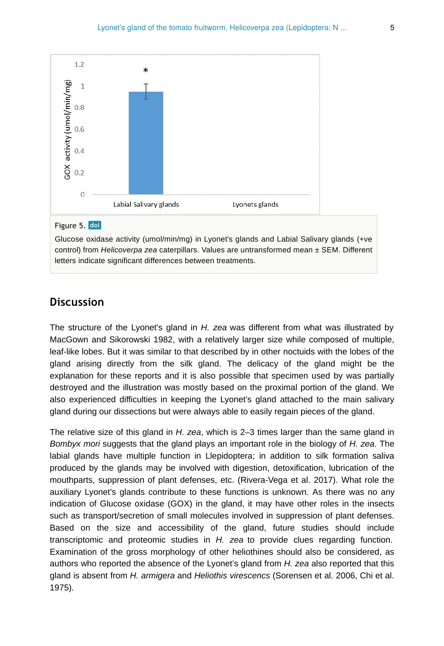

#### Figure 5. doi

Glucose oxidase activity (umol/min/mg) in Lyonet's glands and Labial Salivary glands (+ve control) from *Helicoverpa zea* caterpillars. Values are untransformed mean ± SEM. Different letters indicate significant differences between treatments.

### **Discussion**

The structure of the Lyonet's gland in *H. zea* was different from what was illustrated by MacGown and Sikorowski 1982, with a relatively larger size while composed of multiple, leaf-like lobes. But it was similar to that described by in other noctuids with the lobes of the gland arising directly from the silk gland. The delicacy of the gland might be the explanation for these reports and it is also possible that specimen used by was partially destroyed and the illustration was mostly based on the proximal portion of the gland. We also experienced difficulties in keeping the Lyonet's gland attached to the main salivary gland during our dissections but were always able to easily regain pieces of the gland.

The relative size of this gland in *H. zea*, which is 2–3 times larger than the same gland in *Bombyx mori* suggests that the gland plays an important role in the biology of *H. zea*. The labial glands have multiple function in Llepidoptera; in addition to silk formation saliva produced by the glands may be involved with digestion, detoxification, lubrication of the mouthparts, suppression of plant defenses, etc. (Rivera-Vega et al. 2017). What role the auxiliary Lyonet's glands contribute to these functions is unknown. As there was no any indication of Glucose oxidase (GOX) in the gland, it may have other roles in the insects such as transport/secretion of small molecules involved in suppression of plant defenses. Based on the size and accessibility of the gland, future studies should include transcriptomic and proteomic studies in *H. zea* to provide clues regarding function. Examination of the gross morphology of other heliothines should also be considered, as authors who reported the absence of the Lyonet's gland from *H. zea* also reported that this gland is absent from *H. armigera* and *Heliothis virescencs* (Sorensen et al. 2006, Chi et al. 1975).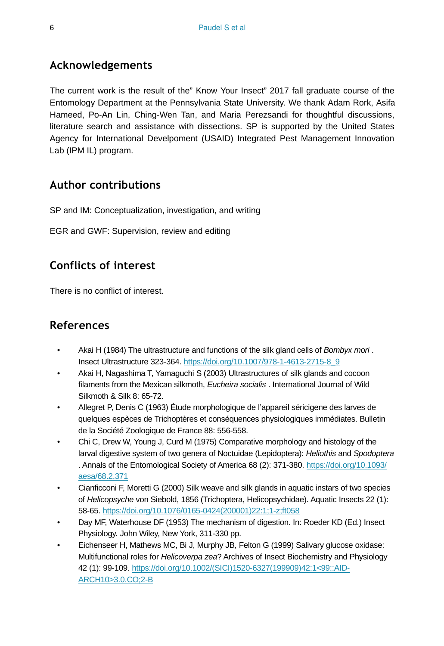## **Acknowledgements**

The current work is the result of the" Know Your Insect" 2017 fall graduate course of the Entomology Department at the Pennsylvania State University. We thank Adam Rork, Asifa Hameed, Po-An Lin, Ching-Wen Tan, and Maria Perezsandi for thoughtful discussions, literature search and assistance with dissections. SP is supported by the United States Agency for International Develpoment (USAID) Integrated Pest Management Innovation Lab (IPM IL) program.

## **Author contributions**

SP and IM: Conceptualization, investigation, and writing

EGR and GWF: Supervision, review and editing

## **Conflicts of interest**

There is no conflict of interest.

## **References**

- Akai H (1984) The ultrastructure and functions of the silk gland cells of *Bombyx mori* . Insect Ultrastructure 323‑364. [https://doi.org/10.1007/978-1-4613-2715-8\\_9](https://doi.org/10.1007/978-1-4613-2715-8_9)
- Akai H, Nagashima T, Yamaguchi S (2003) Ultrastructures of silk glands and cocoon filaments from the Mexican silkmoth, *Eucheira socialis* . International Journal of Wild Silkmoth & Silk 8: 65‑72.
- Allegret P, Denis C (1963) Étude morphologique de l'appareil séricigene des larves de quelques espèces de Trichoptères et conséquences physiologiques immédiates. Bulletin de la Société Zoologique de France 88: 556‑558.
- Chi C, Drew W, Young J, Curd M (1975) Comparative morphology and histology of the larval digestive system of two genera of Noctuidae (Lepidoptera): *Heliothis* and *Spodoptera* . Annals of the Entomological Society of America 68 (2): 371-380. [https://doi.org/10.1093/](https://doi.org/10.1093/aesa/68.2.371) [aesa/68.2.371](https://doi.org/10.1093/aesa/68.2.371)
- Cianficconi F, Moretti G (2000) Silk weave and silk glands in aquatic instars of two species of *Helicopsyche* von Siebold, 1856 (Trichoptera, Helicopsychidae). Aquatic Insects 22 (1): 58‑65. [https://doi.org/10.1076/0165-0424\(200001\)22:1;1-z;ft058](https://doi.org/10.1076/0165-0424(200001)22:1;1-z;ft058)
- Day MF, Waterhouse DF (1953) The mechanism of digestion. In: Roeder KD (Ed.) Insect Physiology. John Wiley, New York, 311-330 pp.
- Eichenseer H, Mathews MC, Bi J, Murphy JB, Felton G (1999) Salivary glucose oxidase: Multifunctional roles for *Helicoverpa zea*? Archives of Insect Biochemistry and Physiology 42 (1): 99‑109. [https://doi.org/10.1002/\(SICI\)1520-6327\(199909\)42:1<99::AID-](https://doi.org/10.1002/(SICI)1520-6327(199909)42:1%3C99::AID-ARCH10%3E3.0.CO;2-B)[ARCH10>3.0.CO;2-B](https://doi.org/10.1002/(SICI)1520-6327(199909)42:1%3C99::AID-ARCH10%3E3.0.CO;2-B)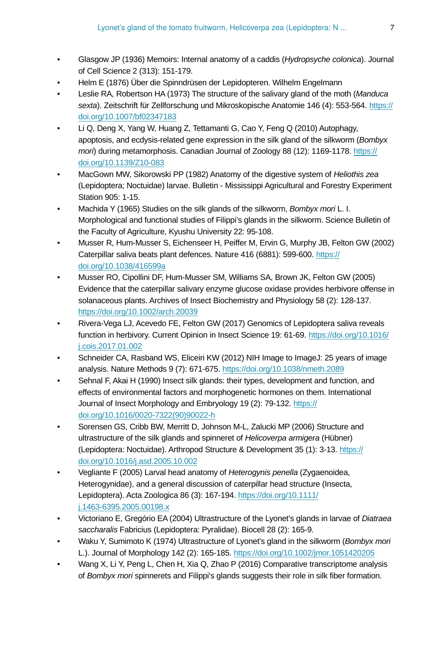- Glasgow JP (1936) Memoirs: Internal anatomy of a caddis (*Hydropsyche colonica*). Journal of Cell Science 2 (313): 151‑179.
- Helm E (1876) Über die Spinndrüsen der Lepidopteren. Wilhelm Engelmann
- Leslie RA, Robertson HA (1973) The structure of the salivary gland of the moth (*Manduca sexta*). Zeitschrift für Zellforschung und Mikroskopische Anatomie 146 (4): 553‑564. [https://](https://doi.org/10.1007/bf02347183) [doi.org/10.1007/bf02347183](https://doi.org/10.1007/bf02347183)
- Li Q, Deng X, Yang W, Huang Z, Tettamanti G, Cao Y, Feng Q (2010) Autophagy, apoptosis, and ecdysis-related gene expression in the silk gland of the silkworm (*Bombyx mori*) during metamorphosis. Canadian Journal of Zoology 88 (12): 1169-1178. [https://](https://doi.org/10.1139/Z10-083) [doi.org/10.1139/Z10-083](https://doi.org/10.1139/Z10-083)
- MacGown MW, Sikorowski PP (1982) Anatomy of the digestive system of *Heliothis zea* (Lepidoptera; Noctuidae) larvae. Bulletin - Mississippi Agricultural and Forestry Experiment Station 905: 1-15.
- Machida Y (1965) Studies on the silk glands of the silkworm, *Bombyx mori* L. I. Morphological and functional studies of Filippi's glands in the silkworm. Science Bulletin of the Faculty of Agriculture, Kyushu University 22: 95-108.
- Musser R, Hum-Musser S, Eichenseer H, Peiffer M, Ervin G, Murphy JB, Felton GW (2002) Caterpillar saliva beats plant defences. Nature 416 (6881): 599‑600. [https://](https://doi.org/10.1038/416599a) [doi.org/10.1038/416599a](https://doi.org/10.1038/416599a)
- Musser RO, Cipollini DF, Hum-Musser SM, Williams SA, Brown JK, Felton GW (2005) Evidence that the caterpillar salivary enzyme glucose oxidase provides herbivore offense in solanaceous plants. Archives of Insect Biochemistry and Physiology 58 (2): 128‑137. <https://doi.org/10.1002/arch.20039>
- Rivera-Vega LJ, Acevedo FE, Felton GW (2017) Genomics of Lepidoptera saliva reveals function in herbivory. Current Opinion in Insect Science 19: 61‑69. [https://doi.org/10.1016/](https://doi.org/10.1016/j.cois.2017.01.002) [j.cois.2017.01.002](https://doi.org/10.1016/j.cois.2017.01.002)
- Schneider CA, Rasband WS, Eliceiri KW (2012) NIH Image to ImageJ: 25 years of image analysis. Nature Methods 9 (7): 671‑675.<https://doi.org/10.1038/nmeth.2089>
- Sehnal F, Akai H (1990) Insect silk glands: their types, development and function, and effects of environmental factors and morphogenetic hormones on them. International Journal of Insect Morphology and Embryology 19 (2): 79-132. [https://](https://doi.org/10.1016/0020-7322(90)90022-h) [doi.org/10.1016/0020-7322\(90\)90022-h](https://doi.org/10.1016/0020-7322(90)90022-h)
- Sorensen GS, Cribb BW, Merritt D, Johnson M-L, Zalucki MP (2006) Structure and ultrastructure of the silk glands and spinneret of *Helicoverpa armigera* (Hübner) (Lepidoptera: Noctuidae). Arthropod Structure & Development 35 (1): 3‑13. [https://](https://doi.org/10.1016/j.asd.2005.10.002) [doi.org/10.1016/j.asd.2005.10.002](https://doi.org/10.1016/j.asd.2005.10.002)
- Vegliante F (2005) Larval head anatomy of *Heterogynis penella* (Zygaenoidea, Heterogynidae), and a general discussion of caterpillar head structure (Insecta, Lepidoptera). Acta Zoologica 86 (3): 167‑194. [https://doi.org/10.1111/](https://doi.org/10.1111/j.1463-6395.2005.00198.x) [j.1463-6395.2005.00198.x](https://doi.org/10.1111/j.1463-6395.2005.00198.x)
- Victoriano E, Gregório EA (2004) Ultrastructure of the Lyonet's glands in larvae of *Diatraea saccharalis* Fabricius (Lepidoptera: Pyralidae). Biocell 28 (2): 165‑9.
- Waku Y, Sumimoto K (1974) Ultrastructure of Lyonet's gland in the silkworm (*Bombyx mori* L.). Journal of Morphology 142 (2): 165‑185.<https://doi.org/10.1002/jmor.1051420205>
- Wang X, Li Y, Peng L, Chen H, Xia Q, Zhao P (2016) Comparative transcriptome analysis of *Bombyx mori* spinnerets and Filippi's glands suggests their role in silk fiber formation.